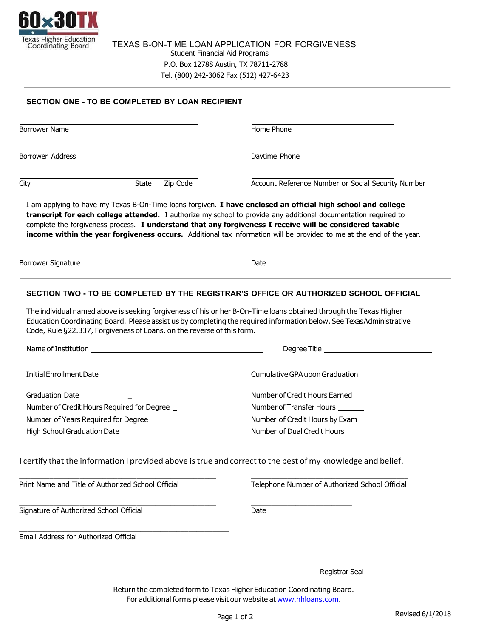

TEXAS B-ON-TIME LOAN APPLICATION FOR FORGIVENESS Student Financial Aid Programs P.O. Box 12788 Austin, TX 78711-2788 Tel. (800) 242-3062 Fax (512) 427-6423

## **SECTION ONE - TO BE COMPLETED BY LOAN RECIPIENT**

| <b>Borrower Name</b>                                                                         |                   | Home Phone                                                                                                                                                                                                                                                                                                                                                                                                                                                          |
|----------------------------------------------------------------------------------------------|-------------------|---------------------------------------------------------------------------------------------------------------------------------------------------------------------------------------------------------------------------------------------------------------------------------------------------------------------------------------------------------------------------------------------------------------------------------------------------------------------|
| <b>Borrower Address</b>                                                                      |                   | Daytime Phone                                                                                                                                                                                                                                                                                                                                                                                                                                                       |
| City                                                                                         | Zip Code<br>State | Account Reference Number or Social Security Number                                                                                                                                                                                                                                                                                                                                                                                                                  |
|                                                                                              |                   | I am applying to have my Texas B-On-Time loans forgiven. I have enclosed an official high school and college<br>transcript for each college attended. I authorize my school to provide any additional documentation required to<br>complete the forgiveness process. I understand that any forgiveness I receive will be considered taxable<br>income within the year forgiveness occurs. Additional tax information will be provided to me at the end of the year. |
|                                                                                              |                   |                                                                                                                                                                                                                                                                                                                                                                                                                                                                     |
|                                                                                              |                   | Date                                                                                                                                                                                                                                                                                                                                                                                                                                                                |
|                                                                                              |                   | SECTION TWO - TO BE COMPLETED BY THE REGISTRAR'S OFFICE OR AUTHORIZED SCHOOL OFFICIAL<br>The individual named above is seeking forgiveness of his or her B-On-Time loans obtained through the Texas Higher<br>Education Coordinating Board. Please assist us by completing the required information below. See TexasAdministrative                                                                                                                                  |
| Borrower Signature<br>Code, Rule §22.337, Forgiveness of Loans, on the reverse of this form. |                   |                                                                                                                                                                                                                                                                                                                                                                                                                                                                     |
|                                                                                              |                   | Degree Title ________________                                                                                                                                                                                                                                                                                                                                                                                                                                       |
| Initial Enrollment Date _____________                                                        |                   | Cumulative GPA upon Graduation _______                                                                                                                                                                                                                                                                                                                                                                                                                              |
| Graduation Date                                                                              |                   | Number of Credit Hours Earned                                                                                                                                                                                                                                                                                                                                                                                                                                       |
| Number of Credit Hours Required for Degree _                                                 |                   | Number of Transfer Hours _______                                                                                                                                                                                                                                                                                                                                                                                                                                    |
| Number of Years Required for Degree                                                          |                   | Number of Credit Hours by Exam                                                                                                                                                                                                                                                                                                                                                                                                                                      |

\_\_\_\_\_\_\_\_\_\_\_\_\_\_\_\_\_\_\_\_\_\_\_\_\_\_\_\_\_\_\_\_\_\_\_\_\_\_\_\_\_\_\_\_\_\_\_\_\_\_\_\_

Print Name and Title of Authorized School Official Telephone Number of Authorized School Official

Signature of Authorized School Official Date

Email Address for Authorized Official

Registrar Seal

Return the completed form to Texas Higher Education Coordinating Board. For additional forms please visit our website at [www.hhloans.com.](http://www.hhloans.com/)

\_\_\_\_\_\_\_\_\_\_\_\_\_\_\_\_\_\_\_\_\_\_\_\_\_\_\_\_\_\_\_\_\_\_\_\_\_\_\_\_\_\_\_\_\_\_\_\_\_\_\_\_ \_\_\_\_\_\_\_\_\_\_\_\_\_\_\_\_\_\_\_\_\_\_\_\_\_